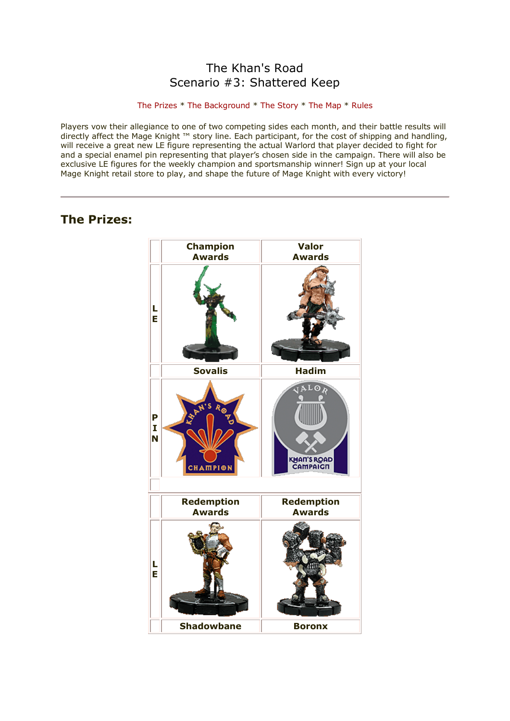# The Khan's Road Scenario #3: Shattered Keep

### [The Prizes](http://www.wizkidsgames.com/mageknight/article.asp?cid=37208&frame=Talesfromtheland#prizes#prizes) \* [The Background](http://www.wizkidsgames.com/mageknight/article.asp?cid=37208&frame=Talesfromtheland#background#background) \* [The Story](http://www.wizkidsgames.com/mageknight/article.asp?cid=37208&frame=Talesfromtheland#story#story) \* [The Map](http://www.wizkidsgames.com/mageknight/article.asp?cid=37208&frame=Talesfromtheland#map#map) \* [Rules](http://www.wizkidsgames.com/mageknight/article.asp?cid=37208&frame=Talesfromtheland#week#week)

Players vow their allegiance to one of two competing sides each month, and their battle results will directly affect the Mage Knight ™ story line. Each participant, for the cost of shipping and handling, will receive a great new LE figure representing the actual Warlord that player decided to fight for and a special enamel pin representing that player's chosen side in the campaign. There will also be exclusive LE figures for the weekly champion and sportsmanship winner! Sign up at your local Mage Knight retail store to play, and shape the future of Mage Knight with every victory!

# **The Prizes:**

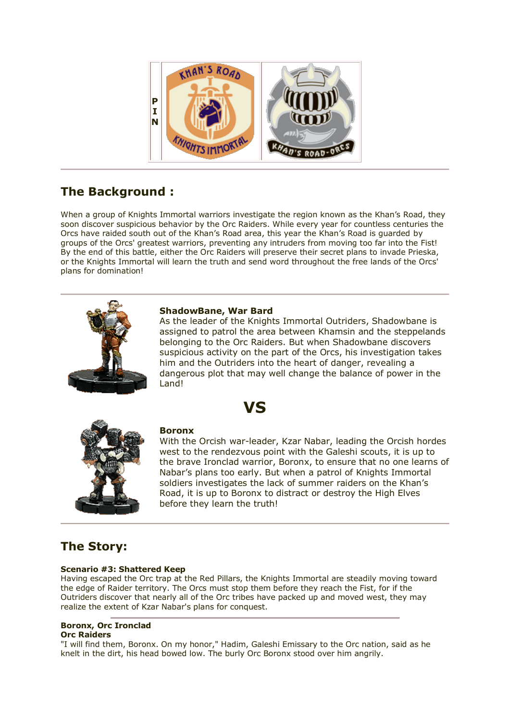

# **The Background :**

When a group of Knights Immortal warriors investigate the region known as the Khan's Road, they soon discover suspicious behavior by the Orc Raiders. While every year for countless centuries the Orcs have raided south out of the Khan's Road area, this year the Khan's Road is guarded by groups of the Orcs' greatest warriors, preventing any intruders from moving too far into the Fist! By the end of this battle, either the Orc Raiders will preserve their secret plans to invade Prieska, or the Knights Immortal will learn the truth and send word throughout the free lands of the Orcs' plans for domination!



# **ShadowBane, War Bard**

As the leader of the Knights Immortal Outriders, Shadowbane is assigned to patrol the area between Khamsin and the steppelands belonging to the Orc Raiders. But when Shadowbane discovers suspicious activity on the part of the Orcs, his investigation takes him and the Outriders into the heart of danger, revealing a dangerous plot that may well change the balance of power in the Land!





# **Boronx**

With the Orcish war-leader, Kzar Nabar, leading the Orcish hordes west to the rendezvous point with the Galeshi scouts, it is up to the brave Ironclad warrior, Boronx, to ensure that no one learns of Nabar's plans too early. But when a patrol of Knights Immortal soldiers investigates the lack of summer raiders on the Khan's Road, it is up to Boronx to distract or destroy the High Elves before they learn the truth!

# **The Story:**

# **Scenario #3: Shattered Keep**

Having escaped the Orc trap at the Red Pillars, the Knights Immortal are steadily moving toward the edge of Raider territory. The Orcs must stop them before they reach the Fist, for if the Outriders discover that nearly all of the Orc tribes have packed up and moved west, they may realize the extent of Kzar Nabar's plans for conquest.

#### **Boronx, Orc Ironclad Orc Raiders**

"I will find them, Boronx. On my honor," Hadim, Galeshi Emissary to the Orc nation, said as he knelt in the dirt, his head bowed low. The burly Orc Boronx stood over him angrily.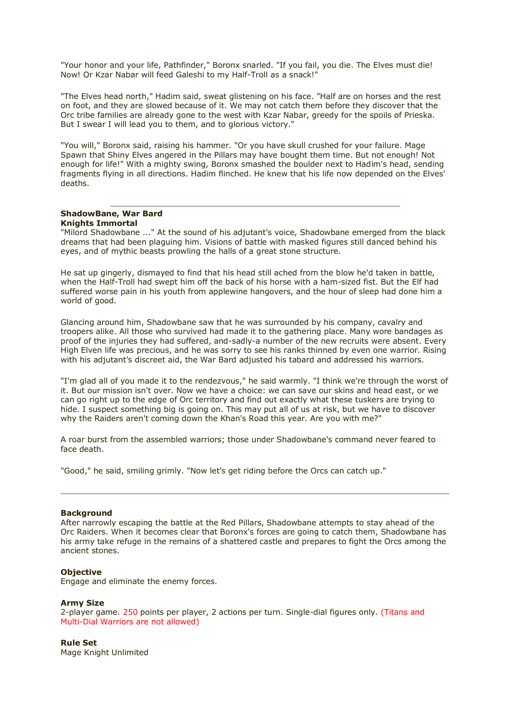"Your honor and your life, Pathfinder," Boronx snarled. "If you fail, you die. The Elves must die! Now! Or Kzar Nabar will feed Galeshi to my Half-Troll as a snack!"

"The Elves head north," Hadim said, sweat glistening on his face. "Half are on horses and the rest on foot, and they are slowed because of it. We may not catch them before they discover that the Orc tribe families are already gone to the west with Kzar Nabar, greedy for the spoils of Prieska. But I swear I will lead you to them, and to glorious victory."

"You will," Boronx said, raising his hammer. "Or you have skull crushed for your failure. Mage Spawn that Shiny Elves angered in the Pillars may have bought them time. But not enough! Not enough for life!" With a mighty swing, Boronx smashed the boulder next to Hadim's head, sending fragments flying in all directions. Hadim flinched. He knew that his life now depended on the Elves' deaths.

#### **ShadowBane, War Bard Knights Immortal**

"Milord Shadowbane ..." At the sound of his adjutant's voice, Shadowbane emerged from the black dreams that had been plaguing him. Visions of battle with masked figures still danced behind his eyes, and of mythic beasts prowling the halls of a great stone structure.

He sat up gingerly, dismayed to find that his head still ached from the blow he'd taken in battle, when the Half-Troll had swept him off the back of his horse with a ham-sized fist. But the Elf had suffered worse pain in his youth from applewine hangovers, and the hour of sleep had done him a world of good.

Glancing around him, Shadowbane saw that he was surrounded by his company, cavalry and troopers alike. All those who survived had made it to the gathering place. Many wore bandages as proof of the injuries they had suffered, and-sadly-a number of the new recruits were absent. Every High Elven life was precious, and he was sorry to see his ranks thinned by even one warrior. Rising with his adjutant's discreet aid, the War Bard adjusted his tabard and addressed his warriors.

"I'm glad all of you made it to the rendezvous," he said warmly. "I think we're through the worst of it. But our mission isn't over. Now we have a choice: we can save our skins and head east, or we can go right up to the edge of Orc territory and find out exactly what these tuskers are trying to hide. I suspect something big is going on. This may put all of us at risk, but we have to discover why the Raiders aren't coming down the Khan's Road this year. Are you with me?"

A roar burst from the assembled warriors; those under Shadowbane's command never feared to face death.

"Good," he said, smiling grimly. "Now let's get riding before the Orcs can catch up."

#### **Background**

After narrowly escaping the battle at the Red Pillars, Shadowbane attempts to stay ahead of the Orc Raiders. When it becomes clear that Boronx's forces are going to catch them, Shadowbane has his army take refuge in the remains of a shattered castle and prepares to fight the Orcs among the ancient stones.

#### **Objective**

Engage and eliminate the enemy forces.

#### **Army Size**

2-player game. 250 points per player, 2 actions per turn. Single-dial figures only. (Titans and Multi-Dial Warriors are not allowed)

#### **Rule Set**

Mage Knight Unlimited